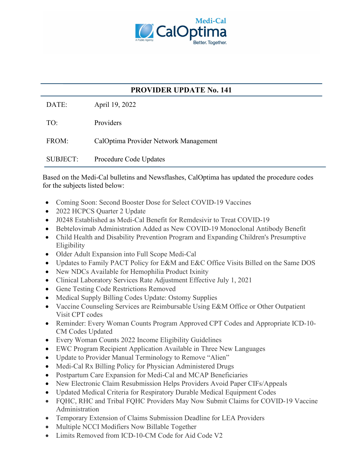

## **PROVIDER UPDATE No. 141**

DATE: April 19, 2022

TO: Providers

FROM: CalOptima Provider Network Management

SUBJECT: Procedure Code Updates

Based on the Medi-Cal bulletins and Newsflashes, CalOptima has updated the procedure codes for the subjects listed below:

- Coming Soon: Second Booster Dose for Select COVID-19 Vaccines
- 2022 HCPCS Quarter 2 Update
- J0248 Established as Medi-Cal Benefit for Remdesivir to Treat COVID-19
- Bebtelovimab Administration Added as New COVID-19 Monoclonal Antibody Benefit
- Child Health and Disability Prevention Program and Expanding Children's Presumptive Eligibility
- Older Adult Expansion into Full Scope Medi-Cal
- Updates to Family PACT Policy for E&M and E&C Office Visits Billed on the Same DOS
- New NDCs Available for Hemophilia Product Ixinity
- Clinical Laboratory Services Rate Adjustment Effective July 1, 2021
- Gene Testing Code Restrictions Removed
- Medical Supply Billing Codes Update: Ostomy Supplies
- Vaccine Counseling Services are Reimbursable Using E&M Office or Other Outpatient Visit CPT codes
- Reminder: Every Woman Counts Program Approved CPT Codes and Appropriate ICD-10- CM Codes Updated
- Every Woman Counts 2022 Income Eligibility Guidelines
- EWC Program Recipient Application Available in Three New Languages
- Update to Provider Manual Terminology to Remove "Alien"
- Medi-Cal Rx Billing Policy for Physician Administered Drugs
- Postpartum Care Expansion for Medi-Cal and MCAP Beneficiaries
- New Electronic Claim Resubmission Helps Providers Avoid Paper CIFs/Appeals
- Updated Medical Criteria for Respiratory Durable Medical Equipment Codes
- FQHC, RHC and Tribal FQHC Providers May Now Submit Claims for COVID-19 Vaccine Administration
- Temporary Extension of Claims Submission Deadline for LEA Providers
- Multiple NCCI Modifiers Now Billable Together
- Limits Removed from ICD-10-CM Code for Aid Code V2